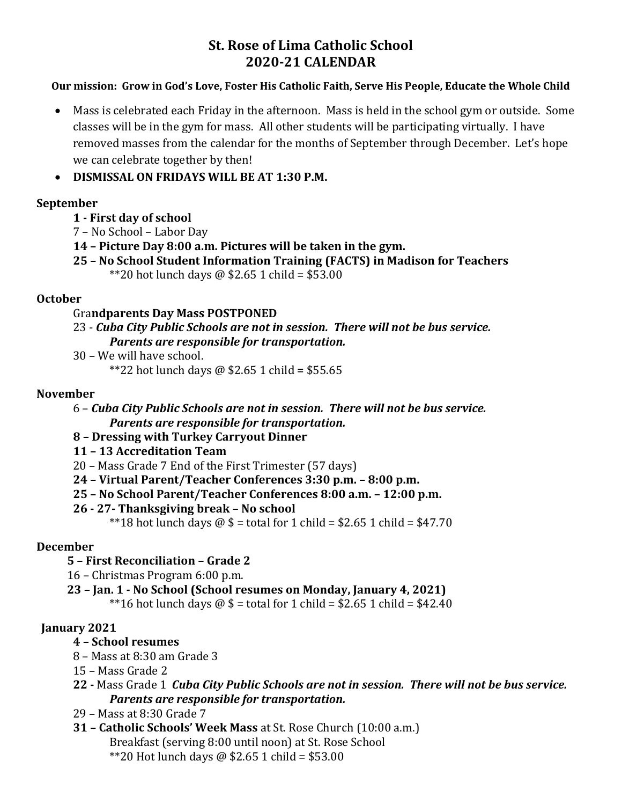# **St. Rose of Lima Catholic School 2020-21 CALENDAR**

#### **Our mission: Grow in God's Love, Foster His Catholic Faith, Serve His People, Educate the Whole Child**

• Mass is celebrated each Friday in the afternoon. Mass is held in the school gym or outside. Some classes will be in the gym for mass. All other students will be participating virtually. I have removed masses from the calendar for the months of September through December. Let's hope we can celebrate together by then!

• **DISMISSAL ON FRIDAYS WILL BE AT 1:30 P.M.**

## **September**

## **1 - First day of school**

- 7 No School Labor Day
- **14 – Picture Day 8:00 a.m. Pictures will be taken in the gym.**
- **25 – No School Student Information Training (FACTS) in Madison for Teachers** \*\*20 hot lunch days @ \$2.65 1 child = \$53.00

## **October**

#### Gra**ndparents Day Mass POSTPONED**

- 23 *Cuba City Public Schools are not in session. There will not be bus service. Parents are responsible for transportation.*
- 30 We will have school.

\*\*22 hot lunch days @ \$2.65 1 child = \$55.65

## **November**

- 6 *Cuba City Public Schools are not in session. There will not be bus service. Parents are responsible for transportation.*
- **8 – Dressing with Turkey Carryout Dinner**
- **11 – 13 Accreditation Team**
- 20 Mass Grade 7 End of the First Trimester (57 days)
- **24 – Virtual Parent/Teacher Conferences 3:30 p.m. – 8:00 p.m.**
- **25 – No School Parent/Teacher Conferences 8:00 a.m. – 12:00 p.m.**
- **26 - 27- Thanksgiving break – No school**

\*\*18 hot lunch days  $\omega$  \$ = total for 1 child = \$2.65 1 child = \$47.70

## **December**

## **5 – First Reconciliation – Grade 2**

- 16 Christmas Program 6:00 p.m.
- **23 – Jan. 1 - No School (School resumes on Monday, January 4, 2021)** \*\*16 hot lunch days  $\omega$  \$ = total for 1 child = \$2.65 1 child = \$42.40

## **January 2021**

## **4 – School resumes**

- 8 Mass at 8:30 am Grade 3
- 15 Mass Grade 2
- **22 -** Mass Grade 1 *Cuba City Public Schools are not in session. There will not be bus service. Parents are responsible for transportation.*
- 29 Mass at 8:30 Grade 7
- **31 – Catholic Schools' Week Mass** at St. Rose Church (10:00 a.m.) Breakfast (serving 8:00 until noon) at St. Rose School \*\*20 Hot lunch days @ \$2.65 1 child = \$53.00